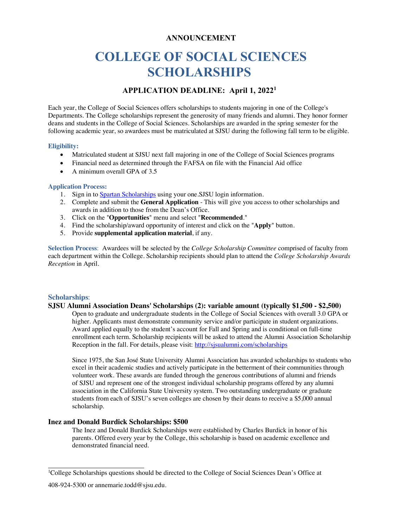## **ANNOUNCEMENT**

# **COLLEGE OF SOCIAL SCIENCES SCHOLARSHIPS**

# **APPLICATION DEADLINE: April 1, 2022 1**

 Each year, the College of Social Sciences offers scholarships to students majoring in one of the College's Departments. The College scholarships represent the generosity of many friends and alumni. They honor former deans and students in the College of Social Sciences. Scholarships are awarded in the spring semester for the following academic year, so awardees must be matriculated at SJSU during the following fall term to be eligible.

#### **Eligibility:**

- Matriculated student at SJSU next fall majoring in one of the College of Social Sciences programs
- Financial need as determined through the FAFSA on file with the Financial Aid office
- A minimum overall GPA of 3.5

#### **Application Process:**

- 1. Sign in to **Spartan Scholarships** using your one.SJSU login information.
- 2. Complete and submit the **General Application**  This will give you access to other scholarships and awards in addition to those from the Dean's Office.
- 3. Click on the "**Opportunities**" menu and select "**Recommended**."
- 4. Find the scholarship/award opportunity of interest and click on the "**Apply**" button.
- 5. Provide **supplemental application material**, if any.

 **Selection Process**: Awardees will be selected by the *College Scholarship Committee* comprised of faculty from each department within the College. Scholarship recipients should plan to attend the *College Scholarship Awards Reception* in April.

#### **Scholarships**:

### **SJSU Alumni Association Deans' Scholarships (2): variable amount (typically \$1,500 - \$2,500)**

 Open to graduate and undergraduate students in the College of Social Sciences with overall 3.0 GPA or higher. Applicants must demonstrate community service and/or participate in student organizations. Award applied equally to the student's account for Fall and Spring and is conditional on full-time enrollment each term. Scholarship recipients will be asked to attend the Alumni Association Scholarship Reception in the fall. For details, please visit: http://sjsualumni.com/scholarships

 Since 1975, the San José State University Alumni Association has awarded scholarships to students who excel in their academic studies and actively participate in the betterment of their communities through volunteer work. These awards are funded through the generous contributions of alumni and friends of SJSU and represent one of the strongest individual scholarship programs offered by any alumni association in the California State University system. Two outstanding undergraduate or graduate students from each of SJSU's seven colleges are chosen by their deans to receive a \$5,000 annual scholarship.

## **Inez and Donald Burdick Scholarships: \$500**

 The Inez and Donald Burdick Scholarships were established by Charles Burdick in honor of his parents. Offered every year by the College, this scholarship is based on academic excellence and demonstrated financial need.

 $\frac{1}{1}$ <sup>1</sup>College Scholarships questions should be directed to the College of Social Sciences Dean's Office at

<sup>408-924-5300</sup> or annemarie.todd@sjsu.edu.